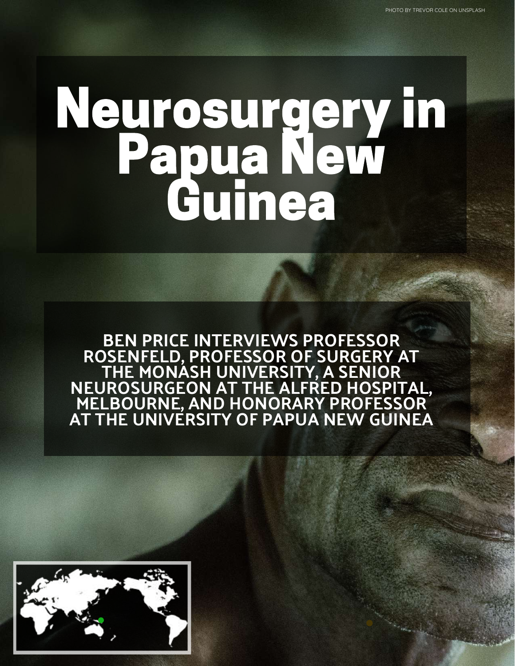# Neurosurgery in Papua New Guinea

BEN PRICE INTERVIEWS PROFESSOR ROSENFELD, PROFESSOR OF SURGERY AT THE MONASH UNIVERSITY, A SENIOR NEUROSURGEON AT THE ALFRED HOSPITAL, MELBOURNE, AND HONORARY PROFESSOR AT THE UNIVERSITY OF PAPUA NEW GUINEA

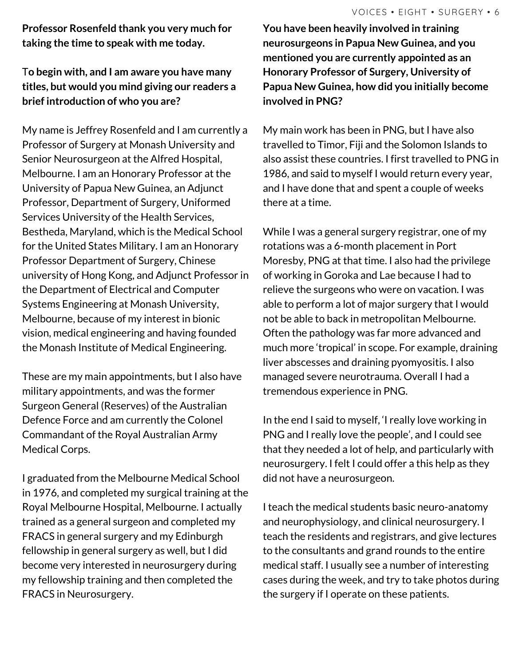**Professor Rosenfeld thank you very much for taking the time to speak with me today.**

### T**o begin with, and I am aware you have many titles, but would you mind giving our readers a brief introduction of who you are?**

My name is Jeffrey Rosenfeld and I am currently a Professor of Surgery at Monash University and Senior Neurosurgeon at the Alfred Hospital, Melbourne. I am an Honorary Professor at the University of Papua New Guinea, an Adjunct Professor, Department of Surgery, Uniformed Services University of the Health Services, Bestheda, Maryland, which is the Medical School for the United States Military. I am an Honorary Professor Department of Surgery, Chinese university of Hong Kong, and Adjunct Professor in the Department of Electrical and Computer Systems Engineering at Monash University, Melbourne, because of my interest in bionic vision, medical engineering and having founded the Monash Institute of Medical Engineering.

These are my main appointments, but I also have military appointments, and was the former Surgeon General (Reserves) of the Australian Defence Force and am currently the Colonel Commandant of the Royal Australian Army Medical Corps.

I graduated from the Melbourne Medical School in 1976, and completed my surgical training at the Royal Melbourne Hospital, Melbourne. I actually trained as a general surgeon and completed my FRACS in general surgery and my Edinburgh fellowship in general surgery as well, but I did become very interested in neurosurgery during my fellowship training and then completed the FRACS in Neurosurgery.

 $\mathbf{v}$   $\mathbf{v}$   $\mathbf{v}$   $\mathbf{v}$   $\mathbf{v}$   $\mathbf{v}$   $\mathbf{v}$   $\mathbf{v}$   $\mathbf{v}$   $\mathbf{v}$   $\mathbf{v}$   $\mathbf{v}$   $\mathbf{v}$ **You have been heavily involved in training neurosurgeons in Papua New Guinea, and you mentioned you are currently appointed as an Honorary Professor of Surgery, University of Papua New Guinea, how did you initially become involved in PNG?**

My main work has been in PNG, but I have also travelled to Timor, Fiji and the Solomon Islands to also assist these countries. I first travelled to PNG in 1986, and said to myself I would return every year, and I have done that and spent a couple of weeks there at a time.

While I was a general surgery registrar, one of my rotations was a 6-month placement in Port Moresby, PNG at that time. I also had the privilege of working in Goroka and Lae because I had to relieve the surgeons who were on vacation. I was able to perform a lot of major surgery that I would not be able to back in metropolitan Melbourne. Often the pathology was far more advanced and much more 'tropical' in scope. For example, draining liver abscesses and draining pyomyositis. I also managed severe neurotrauma. Overall I had a tremendous experience in PNG.

In the end I said to myself, 'I really love working in PNG and I really love the people', and I could see that they needed a lot of help, and particularly with neurosurgery. I felt I could offer a this help as they did not have a neurosurgeon.

I teach the medical students basic neuro-anatomy and neurophysiology, and clinical neurosurgery. I teach the residents and registrars, and give lectures to the consultants and grand rounds to the entire medical staff. I usually see a number of interesting cases during the week, and try to take photos during the surgery if I operate on these patients.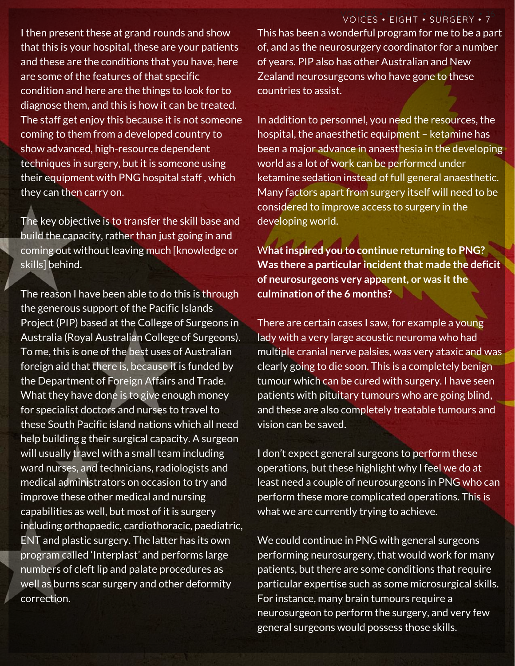## VOICES • EIGHT • SURGERY • 7

I then present these at grand rounds and show that this is your hospital, these are your patients and these are the conditions that you have, here are some of the features of that specific condition and here are the things to look for to diagnose them, and this is how it can be treated. The staff get enjoy this because it is not someone coming to them from a developed country to show advanced, high-resource dependent techniques in surgery, but it is someone using their equipment with PNG hospital staff , which they can then carry on.

The key objective is to transfer the skill base and build the capacity, rather than just going in and coming out without leaving much [knowledge or skills] behind.

The reason I have been able to do this is through the generous support of the Pacific Islands Project (PIP) based at the College of Surgeons in Australia (Royal Australian College of Surgeons). To me, this is one of the best uses of Australian foreign aid that there is, because it is funded by the Department of Foreign Affairs and Trade. What they have done is to give enough money for specialist doctors and nurses to travel to these South Pacific island nations which all need help building g their surgical capacity. A surgeon will usually travel with a small team including ward nurses, and technicians, radiologists and medical administrators on occasion to try and improve these other medical and nursing capabilities as well, but most of it is surgery including orthopaedic, cardiothoracic, paediatric, ENT and plastic surgery. The latter has its own program called 'Interplast' and performs large numbers of cleft lip and palate procedures as well as burns scar surgery and other deformity correction.

This has been a wonderful program for me to be a part of, and as the neurosurgery coordinator for a number of years. PIP also has other Australian and New Zealand neurosurgeons who have gone to these countries to assist.

In addition to personnel, you need the resources, the hospital, the anaesthetic equipment – ketamine has been a major advance in anaesthesia in the developing world as a lot of work can be performed under ketamine sedation instead of full general anaesthetic. Many factors apart from surgery itself will need to be considered to improve access to surgery in the developing world.

W**hatinspired you to continue returning to PNG? Was there a particular incidentthat made the deficit of neurosurgeons very apparent, or was itthe culmination of the 6 months?** 

There are certain cases I saw, for example a young lady with a very large acoustic neuroma who had multiple cranial nerve palsies, was very ataxic and was clearly going to die soon. This is a completely benign tumour which can be cured with surgery. I have seen patients with pituitary tumours who are going blind, and these are also completely treatable tumours and vision can be saved.

I don't expect general surgeons to perform these operations, but these highlight why I feel we do at least need a couple of neurosurgeons in PNG who can perform these more complicated operations. This is what we are currently trying to achieve.

We could continue in PNG with general surgeons performing neurosurgery, that would work for many patients, but there are some conditions that require particular expertise such as some microsurgical skills. For instance, many brain tumours require a neurosurgeon to perform the surgery, and very few general surgeons would possess those skills.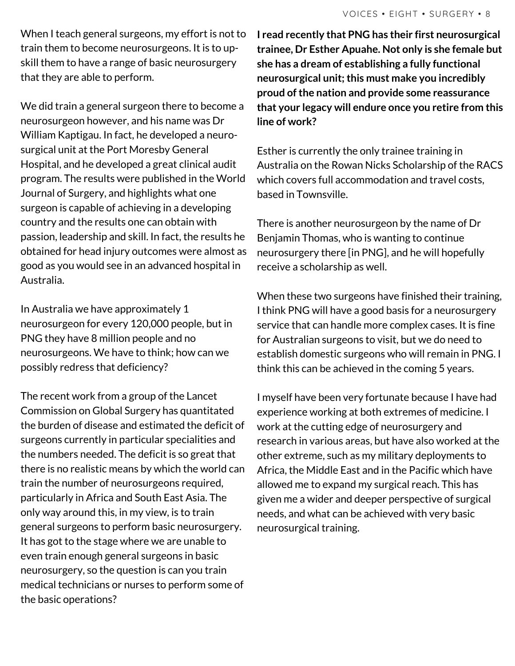When I teach general surgeons, my effort is not to train them to become neurosurgeons. It is to upskill them to have a range of basic neurosurgery that they are able to perform.

We did train a general surgeon there to become a neurosurgeon however, and his name was Dr William Kaptigau. In fact, he developed a neurosurgical unit at the Port Moresby General Hospital, and he developed a great clinical audit program. The results were published in the World Journal of Surgery, and highlights what one surgeon is capable of achieving in a developing country and the results one can obtain with passion, leadership and skill. In fact, the results he obtained for head injury outcomes were almost as good as you would see in an advanced hospital in Australia.

In Australia we have approximately 1 neurosurgeon for every 120,000 people, but in PNG they have 8 million people and no neurosurgeons. We have to think; how can we possibly redress that deficiency?

The recent work from a group of the Lancet Commission on Global Surgery has quantitated the burden of disease and estimated the deficit of surgeons currently in particular specialities and the numbers needed. The deficit is so great that there is no realistic means by which the world can train the number of neurosurgeons required, particularly in Africa and South East Asia. The only way around this, in my view, is to train general surgeons to perform basic neurosurgery. It has got to the stage where we are unable to even train enough general surgeons in basic neurosurgery, so the question is can you train medical technicians or nurses to perform some of the basic operations?

**I read recently that PNG has their first neurosurgical trainee, Dr Esther Apuahe. Not only is she female but she has a dream of establishing a fully functional neurosurgical unit;this must make you incredibly proud ofthe nation and provide some reassurance that your legacy will endure once you retire from this line of work?**

Esther is currently the only trainee training in Australia on the Rowan Nicks Scholarship of the RACS which covers full accommodation and travel costs, based in Townsville.

There is another neurosurgeon by the name of Dr Benjamin Thomas, who is wanting to continue neurosurgery there [in PNG], and he will hopefully receive a scholarship as well.

When these two surgeons have finished their training, I think PNG will have a good basis for a neurosurgery service that can handle more complex cases. It is fine for Australian surgeons to visit, but we do need to establish domestic surgeons who will remain in PNG. I think this can be achieved in the coming 5 years.

I myself have been very fortunate because I have had experience working at both extremes of medicine. I work at the cutting edge of neurosurgery and research in various areas, but have also worked at the other extreme, such as my military deployments to Africa, the Middle East and in the Pacific which have allowed me to expand my surgical reach. This has given me a wider and deeper perspective of surgical needs, and what can be achieved with very basic neurosurgical training.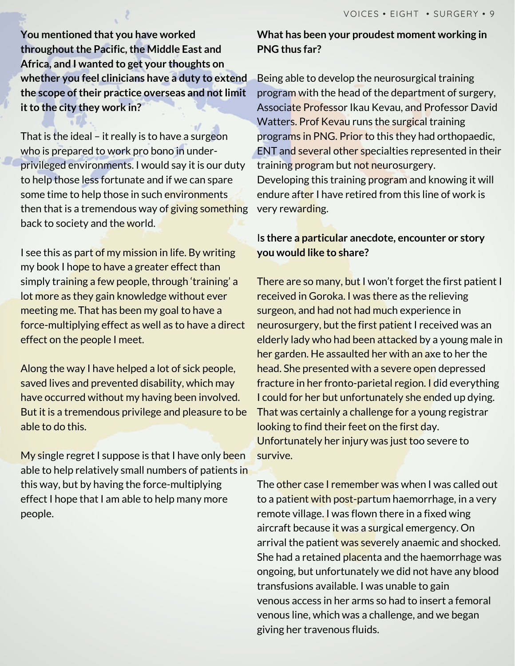**You mentioned that you have worked throughout the Pacific, the Middle East and Africa, and I wanted to get your thoughts on whether you feel clinicians have a duty to extend the scope oftheir practice overseas and notlimit itto the city they work in?**

That is the ideal – it really is to have a surgeon who is prepared to work pro bono in underprivileged environments. I would say it is our duty to help those less fortunate and if we can spare some time to help those in such environments then that is a tremendous way of giving something back to society and the world.

I see this as part of my mission in life. By writing my book I hope to have a greater effect than simply training a few people, through 'training' a lot more as they gain knowledge without ever meeting me. That has been my goal to have a force-multiplying effect as well as to have a direct effect on the people I meet.

Along the way I have helped a lot of sick people, saved lives and prevented disability, which may have occurred without my having been involved. But it is a tremendous privilege and pleasure to be able to do this.

My single regret I suppose is that I have only been able to help relatively small numbers of patients in this way, but by having the force-multiplying effect I hope that I am able to help many more people.

#### **What has been your proudest moment working in PNG thus far?**

Being able to develop the neurosurgical training program with the head of the department of surgery, Associate Professor Ikau Kevau, and Professor David Watters. Prof Kevau runs the surgical training programs in PNG. Prior to this they had orthopaedic, ENT and several other specialties represented in their training program but not neurosurgery. Developing this training program and knowing it will endure after I have retired from this line of work is very rewarding.

#### I**s there a particular anecdote, encounter or story you would like to share?**

There are so many, but I won't forget the first patient I received in Goroka. I was there as the relieving surgeon, and had not had much experience in neurosurgery, but the first patient I received was an elderly lady who had been attacked by a young male in her garden. He assaulted her with an axe to her the head. She presented with a severe open depressed fracture in her fronto-parietal region. I did everything I could for her but unfortunately she ended up dying. That was certainly a challenge for a young registrar looking to find their feet on the first day. Unfortunately her injury was just too severe to survive.

The <mark>other case I remember wa</mark>s when I was called out to a patient with post-partum haemorrhage, in a very remote village. I was flown there in a fixed wing aircraft because it was a surgical emergency. On arrival the patient was severely anaemic and shocked. She had a retained placenta and the haemorrhage was ongoing, but unfortunately we did not have any blood transfusions available. I was unable to gain venous access in her arms so had to insert a femoral venous line, which was a challenge, and we began giving her travenous fluids.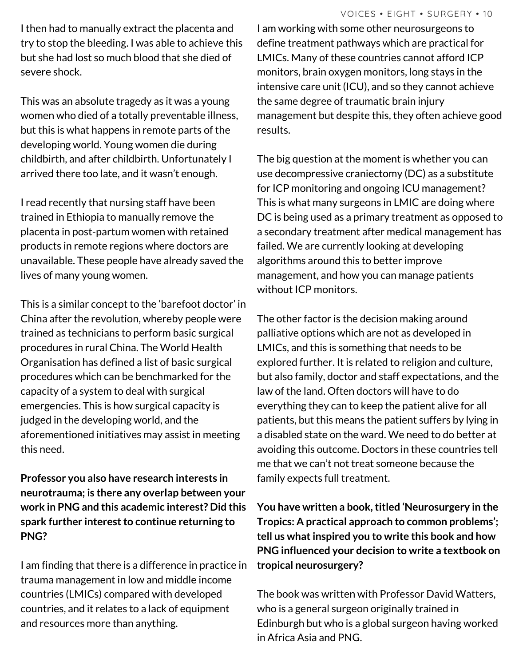I then had to manually extract the placenta and try to stop the bleeding. I was able to achieve this but she had lost so much blood that she died of severe shock.

This was an absolute tragedy as it was a young women who died of a totally preventable illness, but this is what happens in remote parts of the developing world. Young women die during childbirth, and after childbirth. Unfortunately I arrived there too late, and it wasn't enough.

I read recently that nursing staff have been trained in Ethiopia to manually remove the placenta in post-partum women with retained products in remote regions where doctors are unavailable. These people have already saved the lives of many young women.

This is a similar concept to the 'barefoot doctor' in China after the revolution, whereby people were trained as technicians to perform basic surgical procedures in rural China. The World Health Organisation has defined a list of basic surgical procedures which can be benchmarked for the capacity of a system to deal with surgical emergencies. This is how surgical capacity is judged in the developing world, and the aforementioned initiatives may assist in meeting this need.

**Professor you also have research interests in neurotrauma; is there any overlap between your work in PNG and this academic interest? Did this spark further interestto continue returning to PNG?**

I am finding that there is a difference in practice in trauma management in low and middle income countries (LMICs) compared with developed countries, and it relates to a lack of equipment and resources more than anything.

I am working with some other neurosurgeons to define treatment pathways which are practical for LMICs. Many of these countries cannot afford ICP monitors, brain oxygen monitors, long stays in the intensive care unit (ICU), and so they cannot achieve the same degree of traumatic brain injury management but despite this, they often achieve good results.

The big question at the moment is whether you can use decompressive craniectomy (DC) as a substitute for ICP monitoring and ongoing ICU management? This is what many surgeons in LMIC are doing where DC is being used as a primary treatment as opposed to a secondary treatment after medical management has failed. We are currently looking at developing algorithms around this to better improve management, and how you can manage patients without ICP monitors.

The other factor is the decision making around palliative options which are not as developed in LMICs, and this is something that needs to be explored further. It is related to religion and culture, but also family, doctor and staff expectations, and the law of the land. Often doctors will have to do everything they can to keep the patient alive for all patients, but this means the patient suffers by lying in a disabled state on the ward. We need to do better at avoiding this outcome. Doctors in these countries tell me that we can't not treat someone because the family expects full treatment.

**You have written a book,titled 'Neurosurgery in the Tropics: A practical approach to common problems'; tell us whatinspired you to write this book and how PNG influenced your decision to write a textbook on tropical neurosurgery?**

The book was written with Professor David Watters, who is a general surgeon originally trained in Edinburgh but who is a global surgeon having worked in Africa Asia and PNG.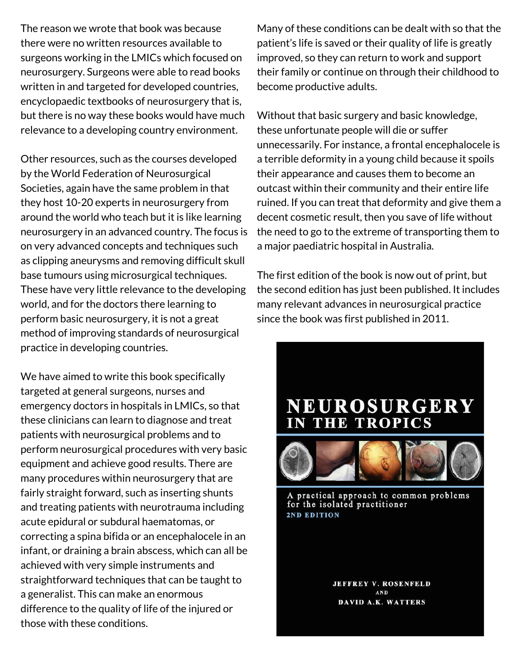The reason we wrote that book was because there were no written resources available to surgeons working in the LMICs which focused on neurosurgery. Surgeons were able to read books written in and targeted for developed countries, encyclopaedic textbooks of neurosurgery that is, but there is no way these books would have much relevance to a developing country environment.

Other resources, such as the courses developed by the World Federation of Neurosurgical Societies, again have the same problem in that they host 10-20 experts in neurosurgery from around the world who teach but it is like learning neurosurgery in an advanced country. The focus is on very advanced concepts and techniques such as clipping aneurysms and removing difficult skull base tumours using microsurgical techniques. These have very little relevance to the developing world, and for the doctors there learning to perform basic neurosurgery, it is not a great method of improving standards of neurosurgical practice in developing countries.

We have aimed to write this book specifically targeted at general surgeons, nurses and emergency doctors in hospitals in LMICs, so that these clinicians can learn to diagnose and treat patients with neurosurgical problems and to perform neurosurgical procedures with very basic equipment and achieve good results. There are many procedures within neurosurgery that are fairly straight forward, such as inserting shunts and treating patients with neurotrauma including acute epidural or subdural haematomas, or correcting a spina bifida or an encephalocele in an infant, or draining a brain abscess, which can all be achieved with very simple instruments and straightforward techniques that can be taught to a generalist. This can make an enormous difference to the quality of life of the injured or those with these conditions.

VOICES • FIVE • SURGERY • 34 Many of these conditions can be dealt with so that the patient's life is saved or their quality of life is greatly improved, so they can return to work and support their family or continue on through their childhood to become productive adults.

Without that basic surgery and basic knowledge, these unfortunate people will die or suffer unnecessarily. For instance, a frontal encephalocele is a terrible deformity in a young child because it spoils their appearance and causes them to become an outcast within their community and their entire life ruined. If you can treat that deformity and give them a decent cosmetic result, then you save of life without the need to go to the extreme of transporting them to a major paediatric hospital in Australia.

The first edition of the book is now out of print, but the second edition has just been published. It includes many relevant advances in neurosurgical practice since the book was first published in 2011.





A practical approach to common problems for the isolated practitioner 2ND EDITION

**JEFFREY V. ROSENFELD** AND DAVID A.K. WATTERS